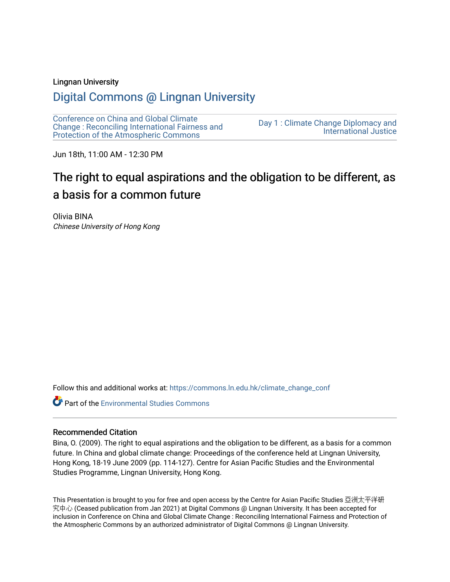#### Lingnan University

# [Digital Commons @ Lingnan University](https://commons.ln.edu.hk/)

[Conference on China and Global Climate](https://commons.ln.edu.hk/climate_change_conf)  [Change : Reconciling International Fairness and](https://commons.ln.edu.hk/climate_change_conf)  [Protection of the Atmospheric Commons](https://commons.ln.edu.hk/climate_change_conf)

[Day 1 : Climate Change Diplomacy and](https://commons.ln.edu.hk/climate_change_conf/day1)  [International Justice](https://commons.ln.edu.hk/climate_change_conf/day1) 

Jun 18th, 11:00 AM - 12:30 PM

# The right to equal aspirations and the obligation to be different, as a basis for a common future

Olivia BINA Chinese University of Hong Kong

Follow this and additional works at: [https://commons.ln.edu.hk/climate\\_change\\_conf](https://commons.ln.edu.hk/climate_change_conf?utm_source=commons.ln.edu.hk%2Fclimate_change_conf%2Fday1%2Fs2%2F3&utm_medium=PDF&utm_campaign=PDFCoverPages) 

**Part of the [Environmental Studies Commons](https://network.bepress.com/hgg/discipline/1333?utm_source=commons.ln.edu.hk%2Fclimate_change_conf%2Fday1%2Fs2%2F3&utm_medium=PDF&utm_campaign=PDFCoverPages)** 

#### Recommended Citation

Bina, O. (2009). The right to equal aspirations and the obligation to be different, as a basis for a common future. In China and global climate change: Proceedings of the conference held at Lingnan University, Hong Kong, 18-19 June 2009 (pp. 114-127). Centre for Asian Pacific Studies and the Environmental Studies Programme, Lingnan University, Hong Kong.

This Presentation is brought to you for free and open access by the Centre for Asian Pacific Studies 亞洲太平洋研 究中心 (Ceased publication from Jan 2021) at Digital Commons @ Lingnan University. It has been accepted for inclusion in Conference on China and Global Climate Change : Reconciling International Fairness and Protection of the Atmospheric Commons by an authorized administrator of Digital Commons @ Lingnan University.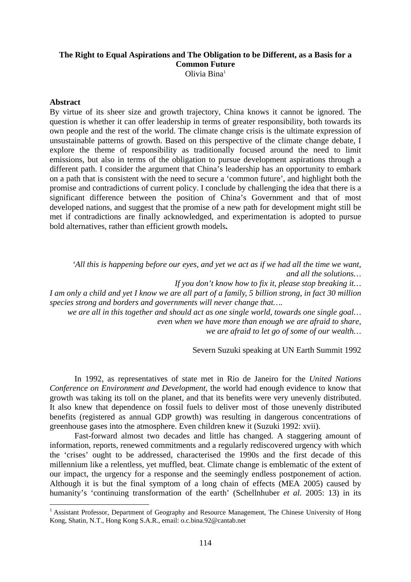# **The Right to Equal Aspirations and The Obligation to be Different, as a Basis for a Common Future**

Olivia Bina1

### **Abstract**

<u>.</u>

By virtue of its sheer size and growth trajectory, China knows it cannot be ignored. The question is whether it can offer leadership in terms of greater responsibility, both towards its own people and the rest of the world. The climate change crisis is the ultimate expression of unsustainable patterns of growth. Based on this perspective of the climate change debate, I explore the theme of responsibility as traditionally focused around the need to limit emissions, but also in terms of the obligation to pursue development aspirations through a different path. I consider the argument that China's leadership has an opportunity to embark on a path that is consistent with the need to secure a 'common future', and highlight both the promise and contradictions of current policy. I conclude by challenging the idea that there is a significant difference between the position of China's Government and that of most developed nations, and suggest that the promise of a new path for development might still be met if contradictions are finally acknowledged, and experimentation is adopted to pursue bold alternatives, rather than efficient growth models**.** 

 *'All this is happening before our eyes, and yet we act as if we had all the time we want, and all the solutions…* 

*If you don't know how to fix it, please stop breaking it…* 

*I am only a child and yet I know we are all part of a family, 5 billion strong, in fact 30 million species strong and borders and governments will never change that….* 

*we are all in this together and should act as one single world, towards one single goal… even when we have more than enough we are afraid to share, we are afraid to let go of some of our wealth…* 

Severn Suzuki speaking at UN Earth Summit 1992

 In 1992, as representatives of state met in Rio de Janeiro for the *United Nations Conference on Environment and Development*, the world had enough evidence to know that growth was taking its toll on the planet, and that its benefits were very unevenly distributed. It also knew that dependence on fossil fuels to deliver most of those unevenly distributed benefits (registered as annual GDP growth) was resulting in dangerous concentrations of greenhouse gases into the atmosphere. Even children knew it (Suzuki 1992: xvii).

 Fast-forward almost two decades and little has changed. A staggering amount of information, reports, renewed commitments and a regularly rediscovered urgency with which the 'crises' ought to be addressed, characterised the 1990s and the first decade of this millennium like a relentless, yet muffled, beat. Climate change is emblematic of the extent of our impact, the urgency for a response and the seemingly endless postponement of action. Although it is but the final symptom of a long chain of effects (MEA 2005) caused by humanity's 'continuing transformation of the earth' (Schellnhuber *et al.* 2005: 13) in its

<sup>&</sup>lt;sup>1</sup> Assistant Professor, Department of Geography and Resource Management, The Chinese University of Hong Kong, Shatin, N.T., Hong Kong S.A.R., email: o.c.bina.92@cantab.net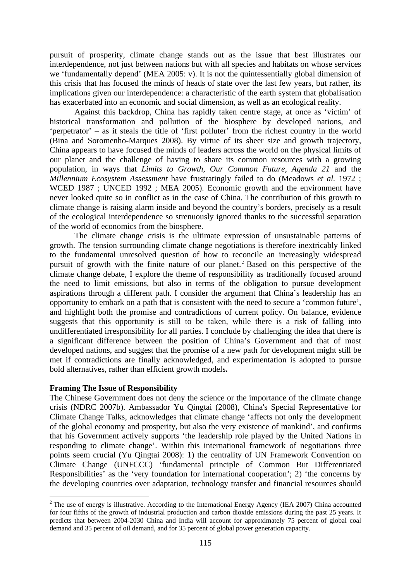pursuit of prosperity, climate change stands out as the issue that best illustrates our interdependence, not just between nations but with all species and habitats on whose services we 'fundamentally depend' (MEA 2005: v). It is not the quintessentially global dimension of this crisis that has focused the minds of heads of state over the last few years, but rather, its implications given our interdependence: a characteristic of the earth system that globalisation has exacerbated into an economic and social dimension, as well as an ecological reality.

 Against this backdrop, China has rapidly taken centre stage, at once as 'victim' of historical transformation and pollution of the biosphere by developed nations, and 'perpetrator' – as it steals the title of 'first polluter' from the richest country in the world (Bina and Soromenho-Marques 2008). By virtue of its sheer size and growth trajectory, China appears to have focused the minds of leaders across the world on the physical limits of our planet and the challenge of having to share its common resources with a growing population, in ways that *Limits to Growth*, *Our Common Future*, *Agenda 21* and the *Millennium Ecosystem Assessment* have frustratingly failed to do (Meadows *et al.* 1972 ; WCED 1987 ; UNCED 1992 ; MEA 2005). Economic growth and the environment have never looked quite so in conflict as in the case of China. The contribution of this growth to climate change is raising alarm inside and beyond the country's borders, precisely as a result of the ecological interdependence so strenuously ignored thanks to the successful separation of the world of economics from the biosphere.

 The climate change crisis is the ultimate expression of unsustainable patterns of growth. The tension surrounding climate change negotiations is therefore inextricably linked to the fundamental unresolved question of how to reconcile an increasingly widespread pursuit of growth with the finite nature of our planet.<sup>2</sup> Based on this perspective of the climate change debate, I explore the theme of responsibility as traditionally focused around the need to limit emissions, but also in terms of the obligation to pursue development aspirations through a different path. I consider the argument that China's leadership has an opportunity to embark on a path that is consistent with the need to secure a 'common future', and highlight both the promise and contradictions of current policy. On balance, evidence suggests that this opportunity is still to be taken, while there is a risk of falling into undifferentiated irresponsibility for all parties. I conclude by challenging the idea that there is a significant difference between the position of China's Government and that of most developed nations, and suggest that the promise of a new path for development might still be met if contradictions are finally acknowledged, and experimentation is adopted to pursue bold alternatives, rather than efficient growth models**.** 

#### **Framing The Issue of Responsibility**

1

The Chinese Government does not deny the science or the importance of the climate change crisis (NDRC 2007b). Ambassador Yu Qingtai (2008), China's Special Representative for Climate Change Talks, acknowledges that climate change 'affects not only the development of the global economy and prosperity, but also the very existence of mankind', and confirms that his Government actively supports 'the leadership role played by the United Nations in responding to climate change'. Within this international framework of negotiations three points seem crucial (Yu Qingtai 2008): 1) the centrality of UN Framework Convention on Climate Change (UNFCCC) 'fundamental principle of Common But Differentiated Responsibilities' as the 'very foundation for international cooperation'; 2) 'the concerns by the developing countries over adaptation, technology transfer and financial resources should

<sup>&</sup>lt;sup>2</sup> The use of energy is illustrative. According to the International Energy Agency (IEA 2007) China accounted for four fifths of the growth of industrial production and carbon dioxide emissions during the past 25 years. It predicts that between 2004-2030 China and India will account for approximately 75 percent of global coal demand and 35 percent of oil demand, and for 35 percent of global power generation capacity.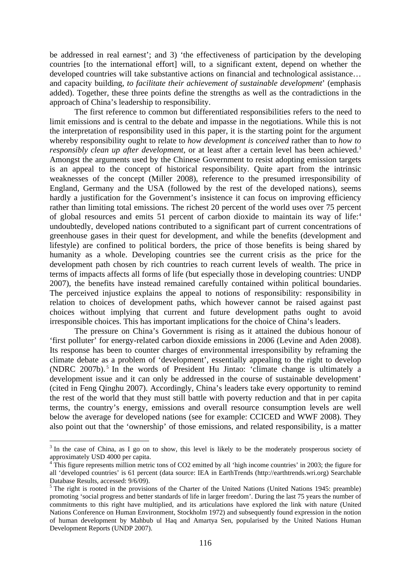be addressed in real earnest'; and 3) 'the effectiveness of participation by the developing countries [to the international effort] will, to a significant extent, depend on whether the developed countries will take substantive actions on financial and technological assistance… and capacity building, *to facilitate their achievement of sustainable development*' (emphasis added). Together, these three points define the strengths as well as the contradictions in the approach of China's leadership to responsibility.

 The first reference to common but differentiated responsibilities refers to the need to limit emissions and is central to the debate and impasse in the negotiations. While this is not the interpretation of responsibility used in this paper, it is the starting point for the argument whereby responsibility ought to relate to *how development is conceived* rather than to *how to responsibly clean up after development*, or at least after a certain level has been achieved.<sup>3</sup> Amongst the arguments used by the Chinese Government to resist adopting emission targets is an appeal to the concept of historical responsibility. Quite apart from the intrinsic weaknesses of the concept (Miller 2008), reference to the presumed irresponsibility of England, Germany and the USA (followed by the rest of the developed nations), seems hardly a justification for the Government's insistence it can focus on improving efficiency rather than limiting total emissions. The richest 20 percent of the world uses over 75 percent of global resources and emits 51 percent of carbon dioxide to maintain its way of life:<sup>4</sup> undoubtedly, developed nations contributed to a significant part of current concentrations of greenhouse gases in their quest for development, and while the benefits (development and lifestyle) are confined to political borders, the price of those benefits is being shared by humanity as a whole. Developing countries see the current crisis as the price for the development path chosen by rich countries to reach current levels of wealth. The price in terms of impacts affects all forms of life (but especially those in developing countries: UNDP 2007), the benefits have instead remained carefully contained within political boundaries. The perceived injustice explains the appeal to notions of responsibility: responsibility in relation to choices of development paths, which however cannot be raised against past choices without implying that current and future development paths ought to avoid irresponsible choices. This has important implications for the choice of China's leaders.

 The pressure on China's Government is rising as it attained the dubious honour of 'first polluter' for energy-related carbon dioxide emissions in 2006 (Levine and Aden 2008). Its response has been to counter charges of environmental irresponsibility by reframing the climate debate as a problem of 'development', essentially appealing to the right to develop (NDRC 2007b). 5 In the words of President Hu Jintao: 'climate change is ultimately a development issue and it can only be addressed in the course of sustainable development' (cited in Feng Qinghu 2007). Accordingly, China's leaders take every opportunity to remind the rest of the world that they must still battle with poverty reduction and that in per capita terms, the country's energy, emissions and overall resource consumption levels are well below the average for developed nations (see for example: CCICED and WWF 2008). They also point out that the 'ownership' of those emissions, and related responsibility, is a matter

<u>.</u>

<sup>&</sup>lt;sup>3</sup> In the case of China, as I go on to show, this level is likely to be the moderately prosperous society of approximately USD 4000 per capita.

<sup>4</sup> This figure represents million metric tons of CO2 emitted by all 'high income countries' in 2003; the figure for all 'developed countries' is 61 percent (data source: IEA in EarthTrends (http://earthtrends.wri.org) Searchable Database Results, accessed: 9/6/09).

<sup>&</sup>lt;sup>5</sup> The right is rooted in the provisions of the Charter of the United Nations (United Nations 1945: preamble) promoting 'social progress and better standards of life in larger freedom'. During the last 75 years the number of commitments to this right have multiplied, and its articulations have explored the link with nature (United Nations Conference on Human Environment, Stockholm 1972) and subsequently found expression in the notion of human development by Mahbub ul Haq and Amartya Sen, popularised by the United Nations Human Development Reports (UNDP 2007).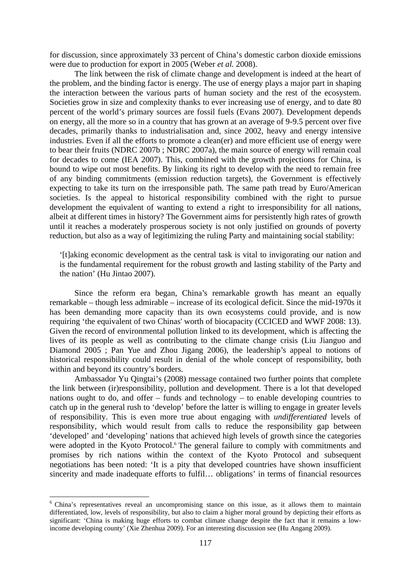for discussion, since approximately 33 percent of China's domestic carbon dioxide emissions were due to production for export in 2005 (Weber *et al.* 2008).

 The link between the risk of climate change and development is indeed at the heart of the problem, and the binding factor is energy. The use of energy plays a major part in shaping the interaction between the various parts of human society and the rest of the ecosystem. Societies grow in size and complexity thanks to ever increasing use of energy, and to date 80 percent of the world's primary sources are fossil fuels (Evans 2007). Development depends on energy, all the more so in a country that has grown at an average of 9-9.5 percent over five decades, primarily thanks to industrialisation and, since 2002, heavy and energy intensive industries. Even if all the efforts to promote a clean(er) and more efficient use of energy were to bear their fruits (NDRC 2007b ; NDRC 2007a), the main source of energy will remain coal for decades to come (IEA 2007). This, combined with the growth projections for China, is bound to wipe out most benefits. By linking its right to develop with the need to remain free of any binding commitments (emission reduction targets), the Government is effectively expecting to take its turn on the irresponsible path. The same path tread by Euro/American societies. Is the appeal to historical responsibility combined with the right to pursue development the equivalent of wanting to extend a right to irresponsibility for all nations, albeit at different times in history? The Government aims for persistently high rates of growth until it reaches a moderately prosperous society is not only justified on grounds of poverty reduction, but also as a way of legitimizing the ruling Party and maintaining social stability:

'[t]aking economic development as the central task is vital to invigorating our nation and is the fundamental requirement for the robust growth and lasting stability of the Party and the nation' (Hu Jintao 2007).

 Since the reform era began, China's remarkable growth has meant an equally remarkable – though less admirable – increase of its ecological deficit. Since the mid-1970s it has been demanding more capacity than its own ecosystems could provide, and is now requiring 'the equivalent of two Chinas' worth of biocapacity (CCICED and WWF 2008: 13). Given the record of environmental pollution linked to its development, which is affecting the lives of its people as well as contributing to the climate change crisis (Liu Jianguo and Diamond 2005 ; Pan Yue and Zhou Jigang 2006), the leadership's appeal to notions of historical responsibility could result in denial of the whole concept of responsibility, both within and beyond its country's borders.

 Ambassador Yu Qingtai's (2008) message contained two further points that complete the link between (ir)responsibility, pollution and development. There is a lot that developed nations ought to do, and offer – funds and technology – to enable developing countries to catch up in the general rush to 'develop' before the latter is willing to engage in greater levels of responsibility. This is even more true about engaging with *undifferentiated* levels of responsibility, which would result from calls to reduce the responsibility gap between 'developed' and 'developing' nations that achieved high levels of growth since the categories were adopted in the Kyoto Protocol.<sup>6</sup> The general failure to comply with commitments and promises by rich nations within the context of the Kyoto Protocol and subsequent negotiations has been noted: 'It is a pity that developed countries have shown insufficient sincerity and made inadequate efforts to fulfil… obligations' in terms of financial resources

1

<sup>&</sup>lt;sup>6</sup> China's representatives reveal an uncompromising stance on this issue, as it allows them to maintain differentiated, low, levels of responsibility, but also to claim a higher moral ground by depicting their efforts as significant: 'China is making huge efforts to combat climate change despite the fact that it remains a lowincome developing county' (Xie Zhenhua 2009). For an interesting discussion see (Hu Angang 2009).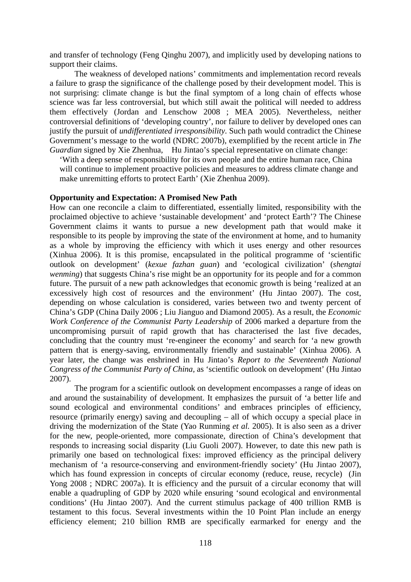and transfer of technology (Feng Qinghu 2007), and implicitly used by developing nations to support their claims.

 The weakness of developed nations' commitments and implementation record reveals a failure to grasp the significance of the challenge posed by their development model. This is not surprising: climate change is but the final symptom of a long chain of effects whose science was far less controversial, but which still await the political will needed to address them effectively (Jordan and Lenschow 2008 ; MEA 2005). Nevertheless, neither controversial definitions of 'developing country', nor failure to deliver by developed ones can justify the pursuit of *undifferentiated irresponsibility*. Such path would contradict the Chinese Government's message to the world (NDRC 2007b), exemplified by the recent article in *The Guardian* signed by Xie Zhenhua, Hu Jintao's special representative on climate change:

'With a deep sense of responsibility for its own people and the entire human race, China will continue to implement proactive policies and measures to address climate change and make unremitting efforts to protect Earth' (Xie Zhenhua 2009).

#### **Opportunity and Expectation: A Promised New Path**

How can one reconcile a claim to differentiated, essentially limited, responsibility with the proclaimed objective to achieve 'sustainable development' and 'protect Earth'? The Chinese Government claims it wants to pursue a new development path that would make it responsible to its people by improving the state of the environment at home, and to humanity as a whole by improving the efficiency with which it uses energy and other resources (Xinhua 2006). It is this promise, encapsulated in the political programme of 'scientific outlook on development' (*kexue fazhan guan*) and 'ecological civilization' (*shengtai wenming*) that suggests China's rise might be an opportunity for its people and for a common future. The pursuit of a new path acknowledges that economic growth is being 'realized at an excessively high cost of resources and the environment' (Hu Jintao 2007). The cost, depending on whose calculation is considered, varies between two and twenty percent of China's GDP (China Daily 2006 ; Liu Jianguo and Diamond 2005). As a result, the *Economic Work Conference of the Communist Party Leadership* of 2006 marked a departure from the uncompromising pursuit of rapid growth that has characterised the last five decades, concluding that the country must 're-engineer the economy' and search for 'a new growth pattern that is energy-saving, environmentally friendly and sustainable' (Xinhua 2006). A year later, the change was enshrined in Hu Jintao's *Report to the Seventeenth National Congress of the Communist Party of China,* as 'scientific outlook on development' (Hu Jintao 2007).

The program for a scientific outlook on development encompasses a range of ideas on and around the sustainability of development. It emphasizes the pursuit of 'a better life and sound ecological and environmental conditions' and embraces principles of efficiency, resource (primarily energy) saving and decoupling – all of which occupy a special place in driving the modernization of the State (Yao Runming *et al.* 2005). It is also seen as a driver for the new, people-oriented, more compassionate, direction of China's development that responds to increasing social disparity (Liu Guoli 2007). However, to date this new path is primarily one based on technological fixes: improved efficiency as the principal delivery mechanism of 'a resource-conserving and environment-friendly society' (Hu Jintao 2007), which has found expression in concepts of circular economy (reduce, reuse, recycle) (Jin Yong 2008 ; NDRC 2007a). It is efficiency and the pursuit of a circular economy that will enable a quadrupling of GDP by 2020 while ensuring 'sound ecological and environmental conditions' (Hu Jintao 2007). And the current stimulus package of 400 trillion RMB is testament to this focus. Several investments within the 10 Point Plan include an energy efficiency element; 210 billion RMB are specifically earmarked for energy and the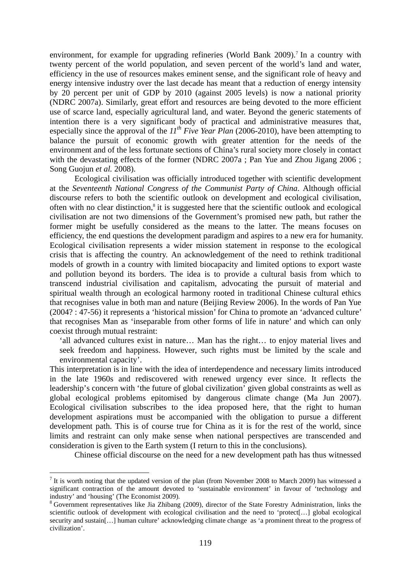environment, for example for upgrading refineries (World Bank 2009).<sup>7</sup> In a country with twenty percent of the world population, and seven percent of the world's land and water, efficiency in the use of resources makes eminent sense, and the significant role of heavy and energy intensive industry over the last decade has meant that a reduction of energy intensity by 20 percent per unit of GDP by 2010 (against 2005 levels) is now a national priority (NDRC 2007a). Similarly, great effort and resources are being devoted to the more efficient use of scarce land, especially agricultural land, and water. Beyond the generic statements of intention there is a very significant body of practical and administrative measures that, especially since the approval of the *11th Five Year Plan* (2006-2010), have been attempting to balance the pursuit of economic growth with greater attention for the needs of the environment and of the less fortunate sections of China's rural society more closely in contact with the devastating effects of the former (NDRC 2007a ; Pan Yue and Zhou Jigang 2006 ; Song Guojun *et al.* 2008).

 Ecological civilisation was officially introduced together with scientific development at the *Seventeenth National Congress of the Communist Party of China*. Although official discourse refers to both the scientific outlook on development and ecological civilisation, often with no clear distinction,<sup>8</sup> it is suggested here that the scientific outlook and ecological civilisation are not two dimensions of the Government's promised new path, but rather the former might be usefully considered as the means to the latter. The means focuses on efficiency, the end questions the development paradigm and aspires to a new era for humanity. Ecological civilisation represents a wider mission statement in response to the ecological crisis that is affecting the country. An acknowledgement of the need to rethink traditional models of growth in a country with limited biocapacity and limited options to export waste and pollution beyond its borders. The idea is to provide a cultural basis from which to transcend industrial civilisation and capitalism, advocating the pursuit of material and spiritual wealth through an ecological harmony rooted in traditional Chinese cultural ethics that recognises value in both man and nature (Beijing Review 2006). In the words of Pan Yue (2004? : 47-56) it represents a 'historical mission' for China to promote an 'advanced culture' that recognises Man as 'inseparable from other forms of life in nature' and which can only coexist through mutual restraint:

'all advanced cultures exist in nature… Man has the right… to enjoy material lives and seek freedom and happiness. However, such rights must be limited by the scale and environmental capacity'.

This interpretation is in line with the idea of interdependence and necessary limits introduced in the late 1960s and rediscovered with renewed urgency ever since. It reflects the leadership's concern with 'the future of global civilization' given global constraints as well as global ecological problems epitomised by dangerous climate change (Ma Jun 2007). Ecological civilisation subscribes to the idea proposed here, that the right to human development aspirations must be accompanied with the obligation to pursue a different development path. This is of course true for China as it is for the rest of the world, since limits and restraint can only make sense when national perspectives are transcended and consideration is given to the Earth system (I return to this in the conclusions).

Chinese official discourse on the need for a new development path has thus witnessed

1

 $<sup>7</sup>$  It is worth noting that the updated version of the plan (from November 2008 to March 2009) has witnessed a</sup> significant contraction of the amount devoted to 'sustainable environment' in favour of 'technology and industry' and 'housing' (The Economist 2009).

<sup>&</sup>lt;sup>8</sup> Government representatives like Jia Zhibang (2009), director of the State Forestry Administration, links the scientific outlook of development with ecological civilisation and the need to 'protect[…] global ecological security and sustain[…] human culture' acknowledging climate change as 'a prominent threat to the progress of civilization'.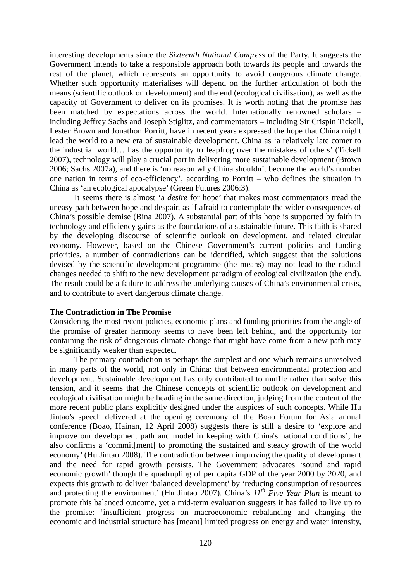interesting developments since the *Sixteenth National Congress* of the Party. It suggests the Government intends to take a responsible approach both towards its people and towards the rest of the planet, which represents an opportunity to avoid dangerous climate change. Whether such opportunity materialises will depend on the further articulation of both the means (scientific outlook on development) and the end (ecological civilisation), as well as the capacity of Government to deliver on its promises. It is worth noting that the promise has been matched by expectations across the world. Internationally renowned scholars – including Jeffrey Sachs and Joseph Stiglitz, and commentators – including Sir Crispin Tickell, Lester Brown and Jonathon Porritt, have in recent years expressed the hope that China might lead the world to a new era of sustainable development. China as 'a relatively late comer to the industrial world… has the opportunity to leapfrog over the mistakes of others' (Tickell 2007), technology will play a crucial part in delivering more sustainable development (Brown 2006; Sachs 2007a), and there is 'no reason why China shouldn't become the world's number one nation in terms of eco-efficiency', according to Porritt – who defines the situation in China as 'an ecological apocalypse' (Green Futures 2006:3).

 It seems there is almost 'a *desire* for hope' that makes most commentators tread the uneasy path between hope and despair, as if afraid to contemplate the wider consequences of China's possible demise (Bina 2007). A substantial part of this hope is supported by faith in technology and efficiency gains as the foundations of a sustainable future. This faith is shared by the developing discourse of scientific outlook on development, and related circular economy. However, based on the Chinese Government's current policies and funding priorities, a number of contradictions can be identified, which suggest that the solutions devised by the scientific development programme (the means) may not lead to the radical changes needed to shift to the new development paradigm of ecological civilization (the end). The result could be a failure to address the underlying causes of China's environmental crisis, and to contribute to avert dangerous climate change.

#### **The Contradiction in The Promise**

Considering the most recent policies, economic plans and funding priorities from the angle of the promise of greater harmony seems to have been left behind, and the opportunity for containing the risk of dangerous climate change that might have come from a new path may be significantly weaker than expected.

 The primary contradiction is perhaps the simplest and one which remains unresolved in many parts of the world, not only in China: that between environmental protection and development. Sustainable development has only contributed to muffle rather than solve this tension, and it seems that the Chinese concepts of scientific outlook on development and ecological civilisation might be heading in the same direction, judging from the content of the more recent public plans explicitly designed under the auspices of such concepts. While Hu Jintao's speech delivered at the opening ceremony of the Boao Forum for Asia annual conference (Boao, Hainan, 12 April 2008) suggests there is still a desire to 'explore and improve our development path and model in keeping with China's national conditions', he also confirms a 'commit[ment] to promoting the sustained and steady growth of the world economy' (Hu Jintao 2008). The contradiction between improving the quality of development and the need for rapid growth persists. The Government advocates 'sound and rapid economic growth' though the quadrupling of per capita GDP of the year 2000 by 2020, and expects this growth to deliver 'balanced development' by 'reducing consumption of resources and protecting the environment' (Hu Jintao 2007). China's *11th Five Year Plan* is meant to promote this balanced outcome, yet a mid-term evaluation suggests it has failed to live up to the promise: 'insufficient progress on macroeconomic rebalancing and changing the economic and industrial structure has [meant] limited progress on energy and water intensity,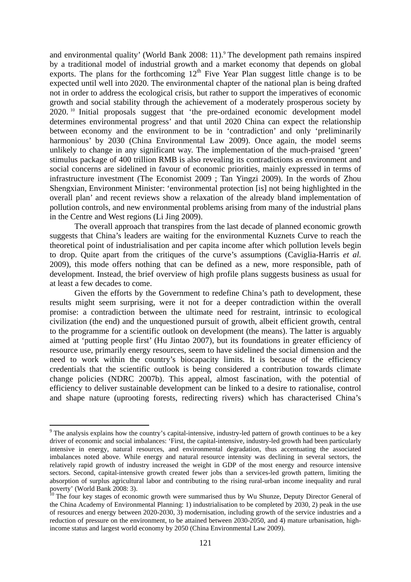and environmental quality' (World Bank 2008: 11).<sup>9</sup> The development path remains inspired by a traditional model of industrial growth and a market economy that depends on global exports. The plans for the forthcoming  $12<sup>th</sup>$  Five Year Plan suggest little change is to be expected until well into 2020. The environmental chapter of the national plan is being drafted not in order to address the ecological crisis, but rather to support the imperatives of economic growth and social stability through the achievement of a moderately prosperous society by 2020. 10 Initial proposals suggest that 'the pre-ordained economic development model determines environmental progress' and that until 2020 China can expect the relationship between economy and the environment to be in 'contradiction' and only 'preliminarily harmonious' by 2030 (China Environmental Law 2009). Once again, the model seems unlikely to change in any significant way. The implementation of the much-praised 'green' stimulus package of 400 trillion RMB is also revealing its contradictions as environment and social concerns are sidelined in favour of economic priorities, mainly expressed in terms of infrastructure investment (The Economist 2009 ; Tan Yingzi 2009). In the words of Zhou Shengxian, Environment Minister: 'environmental protection [is] not being highlighted in the overall plan' and recent reviews show a relaxation of the already bland implementation of pollution controls, and new environmental problems arising from many of the industrial plans in the Centre and West regions (Li Jing 2009).

The overall approach that transpires from the last decade of planned economic growth suggests that China's leaders are waiting for the environmental Kuznets Curve to reach the theoretical point of industrialisation and per capita income after which pollution levels begin to drop. Quite apart from the critiques of the curve's assumptions (Caviglia-Harris *et al.* 2009), this mode offers nothing that can be defined as a new, more responsible, path of development. Instead, the brief overview of high profile plans suggests business as usual for at least a few decades to come.

Given the efforts by the Government to redefine China's path to development, these results might seem surprising, were it not for a deeper contradiction within the overall promise: a contradiction between the ultimate need for restraint, intrinsic to ecological civilization (the end) and the unquestioned pursuit of growth, albeit efficient growth, central to the programme for a scientific outlook on development (the means). The latter is arguably aimed at 'putting people first' (Hu Jintao 2007), but its foundations in greater efficiency of resource use, primarily energy resources, seem to have sidelined the social dimension and the need to work within the country's biocapacity limits. It is because of the efficiency credentials that the scientific outlook is being considered a contribution towards climate change policies (NDRC 2007b). This appeal, almost fascination, with the potential of efficiency to deliver sustainable development can be linked to a desire to rationalise, control and shape nature (uprooting forests, redirecting rivers) which has characterised China's

1

 $9$  The analysis explains how the country's capital-intensive, industry-led pattern of growth continues to be a key driver of economic and social imbalances: 'First, the capital-intensive, industry-led growth had been particularly intensive in energy, natural resources, and environmental degradation, thus accentuating the associated imbalances noted above. While energy and natural resource intensity was declining in several sectors, the relatively rapid growth of industry increased the weight in GDP of the most energy and resource intensive sectors. Second, capital-intensive growth created fewer jobs than a services-led growth pattern, limiting the absorption of surplus agricultural labor and contributing to the rising rural-urban income inequality and rural poverty' (World Bank 2008: 3).

 $10$  The four key stages of economic growth were summarised thus by Wu Shunze, Deputy Director General of the China Academy of Environmental Planning: 1) industrialisation to be completed by 2030, 2) peak in the use of resources and energy between 2020-2030, 3) modernisation, including growth of the service industries and a reduction of pressure on the environment, to be attained between 2030-2050, and 4) mature urbanisation, highincome status and largest world economy by 2050 (China Environmental Law 2009).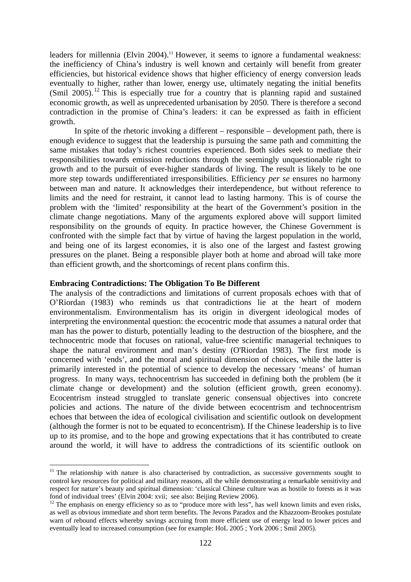leaders for millennia (Elvin 2004).<sup>11</sup> However, it seems to ignore a fundamental weakness: the inefficiency of China's industry is well known and certainly will benefit from greater efficiencies, but historical evidence shows that higher efficiency of energy conversion leads eventually to higher, rather than lower, energy use, ultimately negating the initial benefits (Smil 2005).<sup>12</sup> This is especially true for a country that is planning rapid and sustained economic growth, as well as unprecedented urbanisation by 2050. There is therefore a second contradiction in the promise of China's leaders: it can be expressed as faith in efficient growth.

In spite of the rhetoric invoking a different – responsible – development path, there is enough evidence to suggest that the leadership is pursuing the same path and committing the same mistakes that today's richest countries experienced. Both sides seek to mediate their responsibilities towards emission reductions through the seemingly unquestionable right to growth and to the pursuit of ever-higher standards of living. The result is likely to be one more step towards undifferentiated irresponsibilities. Efficiency *per se* ensures no harmony between man and nature. It acknowledges their interdependence, but without reference to limits and the need for restraint, it cannot lead to lasting harmony. This is of course the problem with the 'limited' responsibility at the heart of the Government's position in the climate change negotiations. Many of the arguments explored above will support limited responsibility on the grounds of equity. In practice however, the Chinese Government is confronted with the simple fact that by virtue of having the largest population in the world, and being one of its largest economies, it is also one of the largest and fastest growing pressures on the planet. Being a responsible player both at home and abroad will take more than efficient growth, and the shortcomings of recent plans confirm this.

#### **Embracing Contradictions: The Obligation To Be Different**

1

The analysis of the contradictions and limitations of current proposals echoes with that of O'Riordan (1983) who reminds us that contradictions lie at the heart of modern environmentalism. Environmentalism has its origin in divergent ideological modes of interpreting the environmental question: the ecocentric mode that assumes a natural order that man has the power to disturb, potentially leading to the destruction of the biosphere, and the technocentric mode that focuses on rational, value-free scientific managerial techniques to shape the natural environment and man's destiny (O'Riordan 1983). The first mode is concerned with 'ends', and the moral and spiritual dimension of choices, while the latter is primarily interested in the potential of science to develop the necessary 'means' of human progress. In many ways, technocentrism has succeeded in defining both the problem (be it climate change or development) and the solution (efficient growth, green economy). Ecocentrism instead struggled to translate generic consensual objectives into concrete policies and actions. The nature of the divide between ecocentrism and technocentrism echoes that between the idea of ecological civilisation and scientific outlook on development (although the former is not to be equated to econcentrism). If the Chinese leadership is to live up to its promise, and to the hope and growing expectations that it has contributed to create around the world, it will have to address the contradictions of its scientific outlook on

 $11$  The relationship with nature is also characterised by contradiction, as successive governments sought to control key resources for political and military reasons, all the while demonstrating a remarkable sensitivity and respect for nature's beauty and spiritual dimension: 'classical Chinese culture was as hostile to forests as it was fond of individual trees' (Elvin 2004: xvii; see also: Beijing Review 2006).

<sup>&</sup>lt;sup>12</sup> The emphasis on energy efficiency so as to "produce more with less", has well known limits and even risks, as well as obvious immediate and short term benefits. The Jevons Paradox and the Khazzoom-Brookes postulate warn of rebound effects whereby savings accruing from more efficient use of energy lead to lower prices and eventually lead to increased consumption (see for example: HoL 2005 ; York 2006 ; Smil 2005).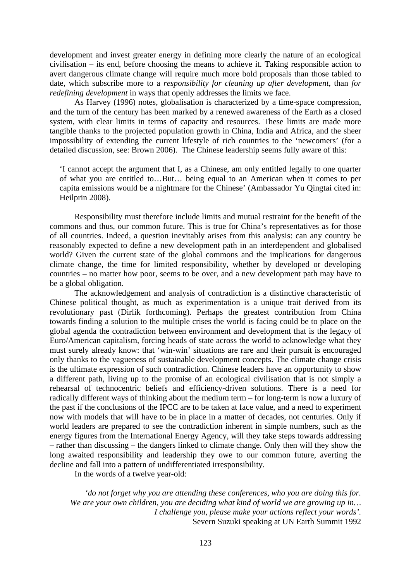development and invest greater energy in defining more clearly the nature of an ecological civilisation – its end, before choosing the means to achieve it. Taking responsible action to avert dangerous climate change will require much more bold proposals than those tabled to date, which subscribe more to a *responsibility for cleaning up after development*, than *for redefining development* in ways that openly addresses the limits we face.

 As Harvey (1996) notes, globalisation is characterized by a time-space compression, and the turn of the century has been marked by a renewed awareness of the Earth as a closed system, with clear limits in terms of capacity and resources. These limits are made more tangible thanks to the projected population growth in China, India and Africa, and the sheer impossibility of extending the current lifestyle of rich countries to the 'newcomers' (for a detailed discussion, see: Brown 2006). The Chinese leadership seems fully aware of this:

'I cannot accept the argument that I, as a Chinese, am only entitled legally to one quarter of what you are entitled to…But… being equal to an American when it comes to per capita emissions would be a nightmare for the Chinese' (Ambassador Yu Qingtai cited in: Heilprin 2008).

 Responsibility must therefore include limits and mutual restraint for the benefit of the commons and thus, our common future. This is true for China's representatives as for those of all countries. Indeed, a question inevitably arises from this analysis: can any country be reasonably expected to define a new development path in an interdependent and globalised world? Given the current state of the global commons and the implications for dangerous climate change, the time for limited responsibility, whether by developed or developing countries – no matter how poor, seems to be over, and a new development path may have to be a global obligation.

 The acknowledgement and analysis of contradiction is a distinctive characteristic of Chinese political thought, as much as experimentation is a unique trait derived from its revolutionary past (Dirlik forthcoming). Perhaps the greatest contribution from China towards finding a solution to the multiple crises the world is facing could be to place on the global agenda the contradiction between environment and development that is the legacy of Euro/American capitalism, forcing heads of state across the world to acknowledge what they must surely already know: that 'win-win' situations are rare and their pursuit is encouraged only thanks to the vagueness of sustainable development concepts. The climate change crisis is the ultimate expression of such contradiction. Chinese leaders have an opportunity to show a different path, living up to the promise of an ecological civilisation that is not simply a rehearsal of technocentric beliefs and efficiency-driven solutions. There is a need for radically different ways of thinking about the medium term – for long-term is now a luxury of the past if the conclusions of the IPCC are to be taken at face value, and a need to experiment now with models that will have to be in place in a matter of decades, not centuries. Only if world leaders are prepared to see the contradiction inherent in simple numbers, such as the energy figures from the International Energy Agency, will they take steps towards addressing – rather than discussing – the dangers linked to climate change. Only then will they show the long awaited responsibility and leadership they owe to our common future, averting the decline and fall into a pattern of undifferentiated irresponsibility.

In the words of a twelve year-old:

*'do not forget why you are attending these conferences, who you are doing this for. We are your own children, you are deciding what kind of world we are growing up in… I challenge you, please make your actions reflect your words'.*  Severn Suzuki speaking at UN Earth Summit 1992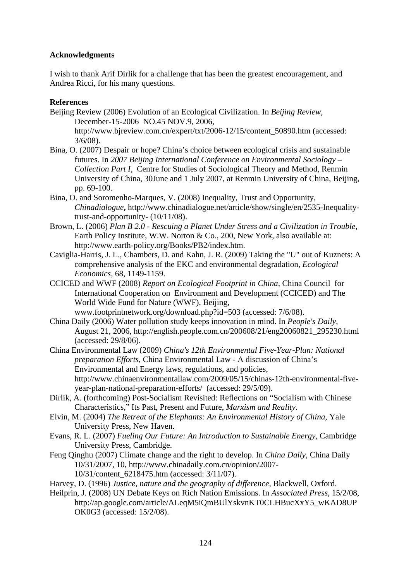## **Acknowledgments**

I wish to thank Arif Dirlik for a challenge that has been the greatest encouragement, and Andrea Ricci, for his many questions.

## **References**

- Beijing Review (2006) Evolution of an Ecological Civilization. In *Beijing Review*, December-15-2006 NO.45 NOV.9, 2006, http://www.bjreview.com.cn/expert/txt/2006-12/15/content\_50890.htm (accessed:  $3/6/08$ ).
- Bina, O. (2007) Despair or hope? China's choice between ecological crisis and sustainable futures. In *2007 Beijing International Conference on Environmental Sociology – Collection Part I*, Centre for Studies of Sociological Theory and Method, Renmin University of China, 30June and 1 July 2007, at Renmin University of China, Beijing, pp. 69-100.
- Bina, O. and Soromenho-Marques, V. (2008) Inequality, Trust and Opportunity, *Chinadialogue***,** http://www.chinadialogue.net/article/show/single/en/2535-Inequalitytrust-and-opportunity- (10/11/08).
- Brown, L. (2006) *Plan B 2.0 Rescuing a Planet Under Stress and a Civilization in Trouble,*  Earth Policy Institute, W.W. Norton & Co., 200, New York, also available at: http://www.earth-policy.org/Books/PB2/index.htm.
- Caviglia-Harris, J. L., Chambers, D. and Kahn, J. R. (2009) Taking the "U" out of Kuznets: A comprehensive analysis of the EKC and environmental degradation, *Ecological Economics,* 68, 1149-1159.
- CCICED and WWF (2008) *Report on Ecological Footprint in China,* China Council for International Cooperation on Environment and Development (CCICED) and The World Wide Fund for Nature (WWF), Beijing, www.footprintnetwork.org/download.php?id=503 (accessed: 7/6/08).
- China Daily (2006) Water pollution study keeps innovation in mind. In *People's Daily*, August 21, 2006, http://english.people.com.cn/200608/21/eng20060821\_295230.html (accessed: 29/8/06).
- China Environmental Law (2009) *China's 12th Environmental Five-Year-Plan: National preparation Efforts*, China Environmental Law - A discussion of China's Environmental and Energy laws, regulations, and policies, http://www.chinaenvironmentallaw.com/2009/05/15/chinas-12th-environmental-fiveyear-plan-national-preparation-efforts/ (accessed: 29/5/09).
- Dirlik, A. (forthcoming) Post-Socialism Revisited: Reflections on "Socialism with Chinese Characteristics," Its Past, Present and Future, *Marxism and Reality*.
- Elvin, M. (2004) *The Retreat of the Elephants: An Environmental History of China,* Yale University Press, New Haven.
- Evans, R. L. (2007) *Fueling Our Future: An Introduction to Sustainable Energy,* Cambridge University Press, Cambridge.
- Feng Qinghu (2007) Climate change and the right to develop. In *China Daily*, China Daily 10/31/2007, 10, http://www.chinadaily.com.cn/opinion/2007- 10/31/content\_6218475.htm (accessed: 3/11/07).
- Harvey, D. (1996) *Justice, nature and the geography of difference,* Blackwell, Oxford.
- Heilprin, J. (2008) UN Debate Keys on Rich Nation Emissions. In *Associated Press*, 15/2/08, http://ap.google.com/article/ALeqM5iQmBUlYskvnKT0CLHBucXxY5\_wKAD8UP OK0G3 (accessed: 15/2/08).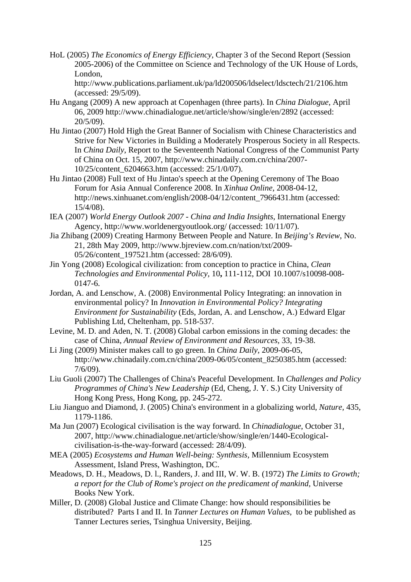HoL (2005) *The Economics of Energy Efficiency,* Chapter 3 of the Second Report (Session 2005-2006) of the Committee on Science and Technology of the UK House of Lords, London,

http://www.publications.parliament.uk/pa/ld200506/ldselect/ldsctech/21/2106.htm (accessed: 29/5/09).

- Hu Angang (2009) A new approach at Copenhagen (three parts). In *China Dialogue*, April 06, 2009 http://www.chinadialogue.net/article/show/single/en/2892 (accessed: 20/5/09).
- Hu Jintao (2007) Hold High the Great Banner of Socialism with Chinese Characteristics and Strive for New Victories in Building a Moderately Prosperous Society in all Respects. In *China Daily*, Report to the Seventeenth National Congress of the Communist Party of China on Oct. 15, 2007, http://www.chinadaily.com.cn/china/2007- 10/25/content\_6204663.htm (accessed: 25/1/0/07).
- Hu Jintao (2008) Full text of Hu Jintao's speech at the Opening Ceremony of The Boao Forum for Asia Annual Conference 2008. In *Xinhua Online*, 2008-04-12, http://news.xinhuanet.com/english/2008-04/12/content\_7966431.htm (accessed: 15/4/08).
- IEA (2007) *World Energy Outlook 2007 China and India Insights*, International Energy Agency, http://www.worldenergyoutlook.org/ (accessed: 10/11/07).
- Jia Zhibang (2009) Creating Harmony Between People and Nature. In *Beijing's Review*, No. 21, 28th May 2009, http://www.bjreview.com.cn/nation/txt/2009- 05/26/content\_197521.htm (accessed: 28/6/09).
- Jin Yong (2008) Ecological civilization: from conception to practice in China, *Clean Technologies and Environmental Policy,* 10**,** 111-112, DOI 10.1007/s10098-008- 0147-6.
- Jordan, A. and Lenschow, A. (2008) Environmental Policy Integrating: an innovation in environmental policy? In *Innovation in Environmental Policy? Integrating Environment for Sustainability* (Eds, Jordan, A. and Lenschow, A.) Edward Elgar Publishing Ltd, Cheltenham, pp. 518-537.
- Levine, M. D. and Aden, N. T. (2008) Global carbon emissions in the coming decades: the case of China, *Annual Review of Environment and Resources,* 33, 19-38.
- Li Jing (2009) Minister makes call to go green. In *China Daily*, 2009-06-05, http://www.chinadaily.com.cn/china/2009-06/05/content\_8250385.htm (accessed: 7/6/09).
- Liu Guoli (2007) The Challenges of China's Peaceful Development. In *Challenges and Policy Programmes of China's New Leadership* (Ed, Cheng, J. Y. S.) City University of Hong Kong Press, Hong Kong, pp. 245-272.
- Liu Jianguo and Diamond, J. (2005) China's environment in a globalizing world, *Nature,* 435, 1179-1186.
- Ma Jun (2007) Ecological civilisation is the way forward. In *Chinadialogue*, October 31, 2007, http://www.chinadialogue.net/article/show/single/en/1440-Ecologicalcivilisation-is-the-way-forward (accessed: 28/4/09).
- MEA (2005) *Ecosystems and Human Well-being: Synthesis,* Millennium Ecosystem Assessment, Island Press, Washington, DC.
- Meadows, D. H., Meadows, D. l., Randers, J. and III, W. W. B. (1972) *The Limits to Growth; a report for the Club of Rome's project on the predicament of mankind,* Universe Books New York.
- Miller, D. (2008) Global Justice and Climate Change: how should responsibilities be distributed? Parts I and II. In *Tanner Lectures on Human Values*, to be published as Tanner Lectures series, Tsinghua University, Beijing.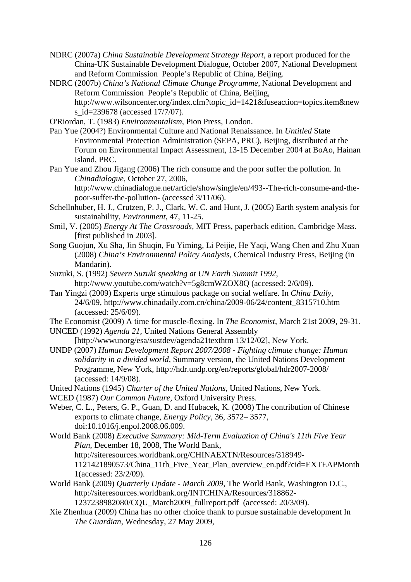- NDRC (2007a) *China Sustainable Development Strategy Report,* a report produced for the China-UK Sustainable Development Dialogue, October 2007, National Development and Reform Commission People's Republic of China, Beijing.
- NDRC (2007b) *China's National Climate Change Programme,* National Development and Reform Commission People's Republic of China, Beijing, http://www.wilsoncenter.org/index.cfm?topic\_id=1421&fuseaction=topics.item&new s id=239678 (accessed 17/7/07).
- O'Riordan, T. (1983) *Environmentalism,* Pion Press, London.
- Pan Yue (2004?) Environmental Culture and National Renaissance. In *Untitled* State Environmental Protection Administration (SEPA, PRC), Beijing, distributed at the Forum on Environmental Impact Assessment, 13-15 December 2004 at BoAo, Hainan Island, PRC.
- Pan Yue and Zhou Jigang (2006) The rich consume and the poor suffer the pollution. In *Chinadialogue*, October 27, 2006,

http://www.chinadialogue.net/article/show/single/en/493--The-rich-consume-and-thepoor-suffer-the-pollution- (accessed 3/11/06).

- Schellnhuber, H. J., Crutzen, P. J., Clark, W. C. and Hunt, J. (2005) Earth system analysis for sustainability, *Environment,* 47, 11-25.
- Smil, V. (2005) *Energy At The Crossroads,* MIT Press, paperback edition, Cambridge Mass. [first published in 2003].
- Song Guojun, Xu Sha, Jin Shuqin, Fu Yiming, Li Peijie, He Yaqi, Wang Chen and Zhu Xuan (2008) *China's Environmental Policy Analysis,* Chemical Industry Press, Beijing (in Mandarin).
- Suzuki, S. (1992) *Severn Suzuki speaking at UN Earth Summit 1992*, http://www.youtube.com/watch?v=5g8cmWZOX8Q (accessed: 2/6/09).
- Tan Yingzi (2009) Experts urge stimulous package on social welfare. In *China Daily*, 24/6/09, http://www.chinadaily.com.cn/china/2009-06/24/content\_8315710.htm (accessed: 25/6/09).
- The Economist (2009) A time for muscle-flexing. In *The Economist*, March 21st 2009, 29-31.

UNCED (1992) *Agenda 21,* United Nations General Assembly [http://wwwunorg/esa/sustdev/agenda21texthtm 13/12/02], New York.

- UNDP (2007) *Human Development Report 2007/2008 Fighting climate change: Human solidarity in a divided world,* Summary version, the United Nations Development Programme, New York, http://hdr.undp.org/en/reports/global/hdr2007-2008/ (accessed: 14/9/08).
- United Nations (1945) *Charter of the United Nations,* United Nations, New York.
- WCED (1987) *Our Common Future,* Oxford University Press.
- Weber, C. L., Peters, G. P., Guan, D. and Hubacek, K. (2008) The contribution of Chinese exports to climate change, *Energy Policy,* 36, 3572– 3577, doi:10.1016/j.enpol.2008.06.009.
- World Bank (2008) *Executive Summary: Mid-Term Evaluation of China's 11th Five Year Plan*, December 18, 2008, The World Bank, http://siteresources.worldbank.org/CHINAEXTN/Resources/318949- 1121421890573/China\_11th\_Five\_Year\_Plan\_overview\_en.pdf?cid=EXTEAPMonth 1(accessed: 23/2/09).
- World Bank (2009) *Quarterly Update March 2009,* The World Bank, Washington D.C., http://siteresources.worldbank.org/INTCHINA/Resources/318862- 1237238982080/CQU\_March2009\_fullreport.pdf (accessed: 20/3/09).
- Xie Zhenhua (2009) China has no other choice thank to pursue sustainable development In *The Guardian*, Wednesday, 27 May 2009,